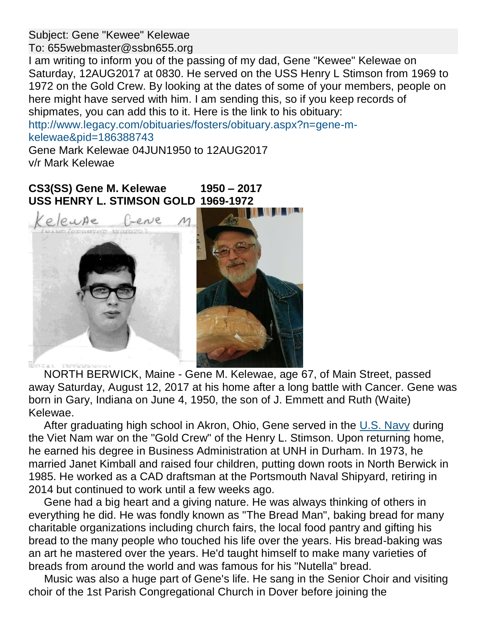Subject: Gene "Kewee" Kelewae

To: 655webmaster@ssbn655.org

I am writing to inform you of the passing of my dad, Gene "Kewee" Kelewae on Saturday, 12AUG2017 at 0830. He served on the USS Henry L Stimson from 1969 to 1972 on the Gold Crew. By looking at the dates of some of your members, people on here might have served with him. I am sending this, so if you keep records of shipmates, you can add this to it. Here is the link to his obituary:

[http://www.legacy.com/obituaries/fosters/obituary.aspx?n=gene-m](http://www.legacy.com/obituaries/fosters/obituary.aspx?n=gene-m-kelewae&pid=186388743)[kelewae&pid=186388743](http://www.legacy.com/obituaries/fosters/obituary.aspx?n=gene-m-kelewae&pid=186388743)

Gene Mark Kelewae 04JUN1950 to 12AUG2017 v/r Mark Kelewae

**CS3(SS) Gene M. Kelewae 1950 – 2017 USS HENRY L. STIMSON GOLD 1969-1972**



 NORTH BERWICK, Maine - Gene M. Kelewae, age 67, of Main Street, passed away Saturday, August 12, 2017 at his home after a long battle with Cancer. Gene was born in Gary, Indiana on June 4, 1950, the son of J. Emmett and Ruth (Waite) Kelewae.

 After graduating high school in Akron, Ohio, Gene served in the [U.S. Navy](http://www.legacy.com/memorial-sites/navy/?personid=186388743&affiliateID=2241) during the Viet Nam war on the "Gold Crew" of the Henry L. Stimson. Upon returning home, he earned his degree in Business Administration at UNH in Durham. In 1973, he married Janet Kimball and raised four children, putting down roots in North Berwick in 1985. He worked as a CAD draftsman at the Portsmouth Naval Shipyard, retiring in 2014 but continued to work until a few weeks ago.

 Gene had a big heart and a giving nature. He was always thinking of others in everything he did. He was fondly known as "The Bread Man", baking bread for many charitable organizations including church fairs, the local food pantry and gifting his bread to the many people who touched his life over the years. His bread-baking was an art he mastered over the years. He'd taught himself to make many varieties of breads from around the world and was famous for his "Nutella" bread.

 Music was also a huge part of Gene's life. He sang in the Senior Choir and visiting choir of the 1st Parish Congregational Church in Dover before joining the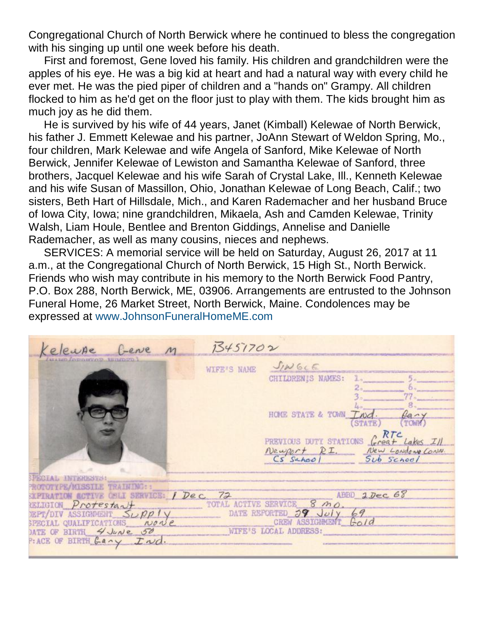Congregational Church of North Berwick where he continued to bless the congregation with his singing up until one week before his death.

 First and foremost, Gene loved his family. His children and grandchildren were the apples of his eye. He was a big kid at heart and had a natural way with every child he ever met. He was the pied piper of children and a "hands on" Grampy. All children flocked to him as he'd get on the floor just to play with them. The kids brought him as much joy as he did them.

 He is survived by his wife of 44 years, Janet (Kimball) Kelewae of North Berwick, his father J. Emmett Kelewae and his partner, JoAnn Stewart of Weldon Spring, Mo., four children, Mark Kelewae and wife Angela of Sanford, Mike Kelewae of North Berwick, Jennifer Kelewae of Lewiston and Samantha Kelewae of Sanford, three brothers, Jacquel Kelewae and his wife Sarah of Crystal Lake, Ill., Kenneth Kelewae and his wife Susan of Massillon, Ohio, Jonathan Kelewae of Long Beach, Calif.; two sisters, Beth Hart of Hillsdale, Mich., and Karen Rademacher and her husband Bruce of Iowa City, Iowa; nine grandchildren, Mikaela, Ash and Camden Kelewae, Trinity Walsh, Liam Houle, Bentlee and Brenton Giddings, Annelise and Danielle Rademacher, as well as many cousins, nieces and nephews.

 SERVICES: A memorial service will be held on Saturday, August 26, 2017 at 11 a.m., at the Congregational Church of North Berwick, 15 High St., North Berwick. Friends who wish may contribute in his memory to the North Berwick Food Pantry, P.O. Box 288, North Berwick, ME, 03906. Arrangements are entrusted to the Johnson Funeral Home, 26 Market Street, North Berwick, Maine. Condolences may be expressed at [www.JohnsonFuneralHomeME.com](http://www.johnsonfuneralhomeme.com/)

| Gene M<br>eleupe                                                                                                                                                                                                                    | 13451702                                                                                                                                                                                                   |
|-------------------------------------------------------------------------------------------------------------------------------------------------------------------------------------------------------------------------------------|------------------------------------------------------------------------------------------------------------------------------------------------------------------------------------------------------------|
| STRIPPORT INTERPRET<br><b>SPECIAL INTERESTS:</b>                                                                                                                                                                                    | $J/N$ GLE<br>WIFE'S NAME<br>CHILDRENIS NAMES:<br>HOME STATE & TOWN Ind.<br>$\mu$ any<br>STATE)<br>PREVIOUS DUTY STATIONS Creat Lakes III<br>Newport R.I. New Londong Conn.<br>Cs Sehool Sib Statione Conn. |
| ROTOTYPE/MISSILE TRAINING::<br><b>SXPIRATION ACTIVE OBLI SERVICE: / Dec. 72</b><br><b>RELIGION</b> Protestant<br>SPECIAL QUALIFICATIONS NONE<br>DATE OF BIRTH 4 JUNE 50<br>P: ACE OF BIRTH $\mathcal{L}$ any $\mathcal{L} \sim d$ . | ABBD 1 Dec 68<br>TOTAL ACTIVE SERVICE 8 MO.<br>DEPT/DIV ASSIGNMENT $S_{\nu}$ pply DATE REPORTED $39$ July 69<br>CREW ASSIGNMENT Gold<br>WIFE'S LOCAL ADDRESS:                                              |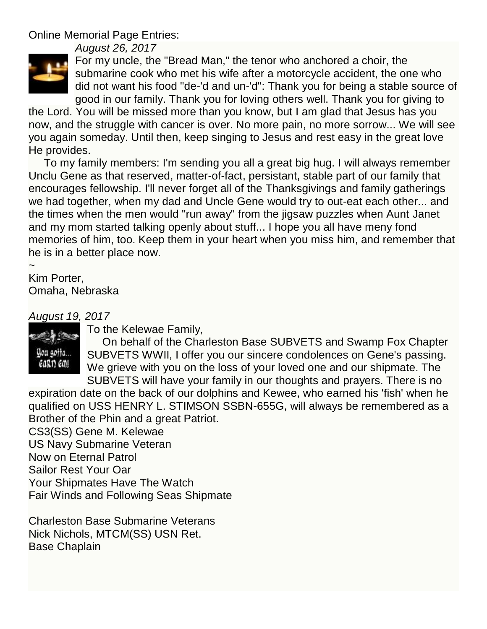Online Memorial Page Entries:

*August 26, 2017*



For my uncle, the "Bread Man," the tenor who anchored a choir, the submarine cook who met his wife after a motorcycle accident, the one who did not want his food "de-'d and un-'d": Thank you for being a stable source of good in our family. Thank you for loving others well. Thank you for giving to

the Lord. You will be missed more than you know, but I am glad that Jesus has you now, and the struggle with cancer is over. No more pain, no more sorrow... We will see you again someday. Until then, keep singing to Jesus and rest easy in the great love He provides.

 To my family members: I'm sending you all a great big hug. I will always remember Unclu Gene as that reserved, matter-of-fact, persistant, stable part of our family that encourages fellowship. I'll never forget all of the Thanksgivings and family gatherings we had together, when my dad and Uncle Gene would try to out-eat each other... and the times when the men would "run away" from the jigsaw puzzles when Aunt Janet and my mom started talking openly about stuff... I hope you all have meny fond memories of him, too. Keep them in your heart when you miss him, and remember that he is in a better place now.

~

Kim Porter, Omaha, Nebraska

# *August 19, 2017*



To the Kelewae Family,

 On behalf of the Charleston Base SUBVETS and Swamp Fox Chapter SUBVETS WWII, I offer you our sincere condolences on Gene's passing. We grieve with you on the loss of your loved one and our shipmate. The SUBVETS will have your family in our thoughts and prayers. There is no

expiration date on the back of our dolphins and Kewee, who earned his 'fish' when he qualified on USS HENRY L. STIMSON SSBN-655G, will always be remembered as a Brother of the Phin and a great Patriot.

CS3(SS) Gene M. Kelewae US Navy Submarine Veteran Now on Eternal Patrol Sailor Rest Your Oar Your Shipmates Have The Watch Fair Winds and Following Seas Shipmate

Charleston Base Submarine Veterans Nick Nichols, MTCM(SS) USN Ret. Base Chaplain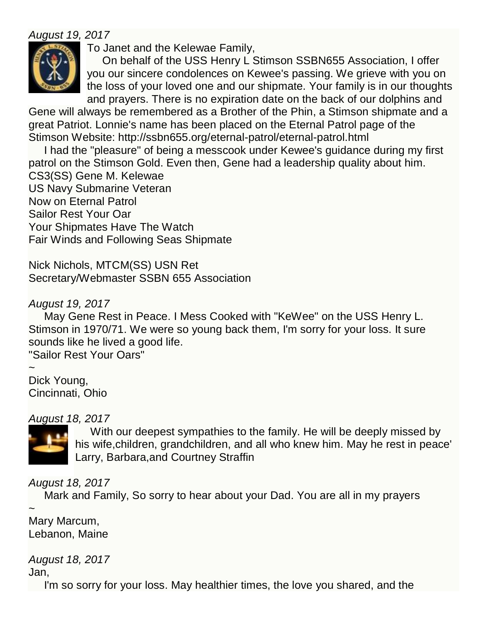## *August 19, 2017*



To Janet and the Kelewae Family,

 On behalf of the USS Henry L Stimson SSBN655 Association, I offer you our sincere condolences on Kewee's passing. We grieve with you on the loss of your loved one and our shipmate. Your family is in our thoughts and prayers. There is no expiration date on the back of our dolphins and

Gene will always be remembered as a Brother of the Phin, a Stimson shipmate and a great Patriot. Lonnie's name has been placed on the Eternal Patrol page of the Stimson Website: http://ssbn655.org/eternal-patrol/eternal-patrol.html

 I had the "pleasure" of being a messcook under Kewee's guidance during my first patrol on the Stimson Gold. Even then, Gene had a leadership quality about him. CS3(SS) Gene M. Kelewae US Navy Submarine Veteran Now on Eternal Patrol Sailor Rest Your Oar Your Shipmates Have The Watch Fair Winds and Following Seas Shipmate

Nick Nichols, MTCM(SS) USN Ret Secretary/Webmaster SSBN 655 Association

### *August 19, 2017*

 May Gene Rest in Peace. I Mess Cooked with "KeWee" on the USS Henry L. Stimson in 1970/71. We were so young back them, I'm sorry for your loss. It sure sounds like he lived a good life. "Sailor Rest Your Oars"

~ Dick Young, Cincinnati, Ohio

#### *August 18, 2017*



 With our deepest sympathies to the family. He will be deeply missed by his wife,children, grandchildren, and all who knew him. May he rest in peace' Larry, Barbara,and Courtney Straffin

*August 18, 2017*

Mark and Family, So sorry to hear about your Dad. You are all in my prayers

 $\ddot{\phantom{0}}$ Mary Marcum, Lebanon, Maine

*August 18, 2017*

Jan,

I'm so sorry for your loss. May healthier times, the love you shared, and the